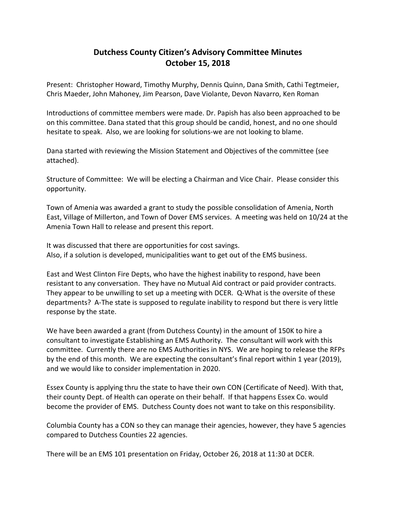## **Dutchess County Citizen's Advisory Committee Minutes October 15, 2018**

Present: Christopher Howard, Timothy Murphy, Dennis Quinn, Dana Smith, Cathi Tegtmeier, Chris Maeder, John Mahoney, Jim Pearson, Dave Violante, Devon Navarro, Ken Roman

Introductions of committee members were made. Dr. Papish has also been approached to be on this committee. Dana stated that this group should be candid, honest, and no one should hesitate to speak. Also, we are looking for solutions-we are not looking to blame.

Dana started with reviewing the Mission Statement and Objectives of the committee (see attached).

Structure of Committee: We will be electing a Chairman and Vice Chair. Please consider this opportunity.

Town of Amenia was awarded a grant to study the possible consolidation of Amenia, North East, Village of Millerton, and Town of Dover EMS services. A meeting was held on 10/24 at the Amenia Town Hall to release and present this report.

It was discussed that there are opportunities for cost savings. Also, if a solution is developed, municipalities want to get out of the EMS business.

East and West Clinton Fire Depts, who have the highest inability to respond, have been resistant to any conversation. They have no Mutual Aid contract or paid provider contracts. They appear to be unwilling to set up a meeting with DCER. Q-What is the oversite of these departments? A-The state is supposed to regulate inability to respond but there is very little response by the state.

We have been awarded a grant (from Dutchess County) in the amount of 150K to hire a consultant to investigate Establishing an EMS Authority. The consultant will work with this committee. Currently there are no EMS Authorities in NYS. We are hoping to release the RFPs by the end of this month. We are expecting the consultant's final report within 1 year (2019), and we would like to consider implementation in 2020.

Essex County is applying thru the state to have their own CON (Certificate of Need). With that, their county Dept. of Health can operate on their behalf. If that happens Essex Co. would become the provider of EMS. Dutchess County does not want to take on this responsibility.

Columbia County has a CON so they can manage their agencies, however, they have 5 agencies compared to Dutchess Counties 22 agencies.

There will be an EMS 101 presentation on Friday, October 26, 2018 at 11:30 at DCER.